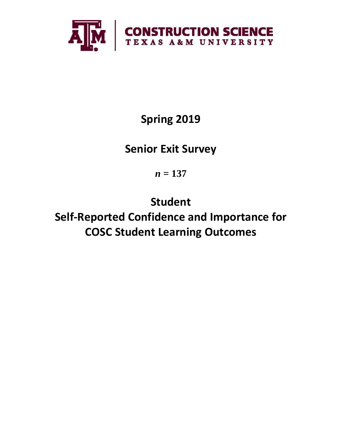

**Spring 2019**

**Senior Exit Survey**

*n* **= 137**

**Student Self-Reported Confidence and Importance for COSC Student Learning Outcomes**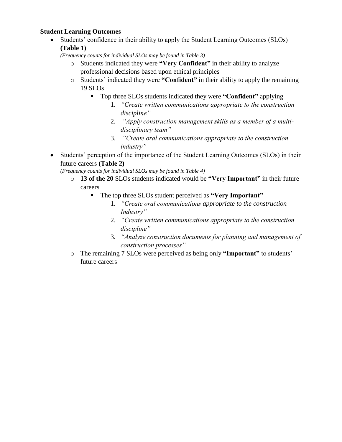### **Student Learning Outcomes**

• Students' confidence in their ability to apply the Student Learning Outcomes (SLOs) **(Table 1)**

*(Frequency counts for individual SLOs may be found in Table 3)*

- o Students indicated they were **"Very Confident"** in their ability to analyze professional decisions based upon ethical principles
- o Students' indicated they were **"Confident"** in their ability to apply the remaining 19 SLOs
	- Top three SLOs students indicated they were **"Confident"** applying
		- 1. *"Create written communications appropriate to the construction discipline"*
		- 2. *"Apply construction management skills as a member of a multidisciplinary team"*
		- 3. *"Create oral communications appropriate to the construction industry"*
- Students' perception of the importance of the Student Learning Outcomes (SLOs) in their future careers **(Table 2)**

*(Frequency counts for individual SLOs may be found in Table 4)*

- o **13 of the 20** SLOs students indicated would be **"Very Important"** in their future careers
	- The top three SLOs student perceived as **"Very Important"**
		- 1. *"Create oral communications appropriate to the construction Industry"*
		- 2. *"Create written communications appropriate to the construction discipline"*
		- 3. *"Analyze construction documents for planning and management of construction processes"*
- o The remaining 7 SLOs were perceived as being only **"Important"** to students' future careers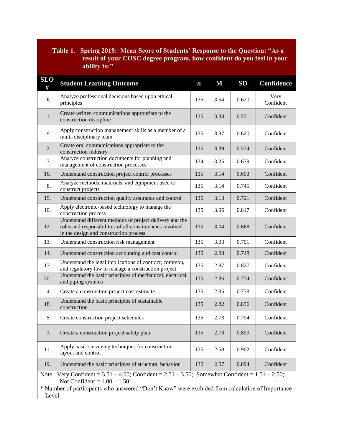# **Table 1. Spring 2019: Mean Score of Students' Response to the Question: "As a result of your COSC degree program, how confident do you feel in your ability to:"**

| <b>SLO</b><br># | <b>Student Learning Outcome</b>                                                                                                                                                                                                                       | $\boldsymbol{n}$ | $\mathbf M$ | SD    | <b>Confidence</b> |  |  |  |
|-----------------|-------------------------------------------------------------------------------------------------------------------------------------------------------------------------------------------------------------------------------------------------------|------------------|-------------|-------|-------------------|--|--|--|
| 6.              | Analyze professional decisions based upon ethical<br>principles                                                                                                                                                                                       | 135              | 3.54        | 0.620 | Very<br>Confident |  |  |  |
| 1.              | Create written communications appropriate to the<br>construction discipline                                                                                                                                                                           | 135              | 3.38        | 0.571 | Confident         |  |  |  |
| 9.              | Apply construction management skills as a member of a<br>multi-disciplinary team                                                                                                                                                                      | 135              | 3.37        | 0.620 | Confident         |  |  |  |
| 2.              | Create oral communications appropriate to the<br>construction industry                                                                                                                                                                                | 135              | 3.39        | 0.574 | Confident         |  |  |  |
| 7.              | Analyze construction documents for planning and<br>management of construction processes                                                                                                                                                               | 134              | 3.25        | 0.679 | Confident         |  |  |  |
| 16.             | Understand construction project control processes                                                                                                                                                                                                     | 135              | 3.14        | 0.693 | Confident         |  |  |  |
| 8.              | Analyze methods, materials, and equipment used to<br>construct projects                                                                                                                                                                               | 135              | 3.14        | 0.745 | Confident         |  |  |  |
| 15.             | Understand construction quality assurance and control                                                                                                                                                                                                 | 135              | 3.13        | 0.721 | Confident         |  |  |  |
| 10.             | Apply electronic-based technology to manage the<br>construction process                                                                                                                                                                               | 135              | 3.06        | 0.817 | Confident         |  |  |  |
| 12.             | Understand different methods of project delivery and the<br>roles and responsibilities of all constituencies involved<br>in the design and construction process                                                                                       | 135              | 3.04        | 0.668 | Confident         |  |  |  |
| 13.             | Understand construction risk management                                                                                                                                                                                                               | 135              | 3.03        | 0.701 | Confident         |  |  |  |
| 14.             | Understand construction accounting and cost control                                                                                                                                                                                                   | 135              | 2.98        | 0.748 | Confident         |  |  |  |
| 17.             | Understand the legal implications of contract, common,<br>and regulatory law to manage a construction project                                                                                                                                         | 135              | 2.87        | 0.827 | Confident         |  |  |  |
| 20.             | Understand the basic principles of mechanical, electrical<br>and piping systems                                                                                                                                                                       | 135              | 2.86        | 0.774 | Confident         |  |  |  |
| 4.              | Create a construction project cost estimate                                                                                                                                                                                                           | 135              | 2.85        | 0.738 | Confident         |  |  |  |
| 18.             | Understand the basic principles of sustainable<br>construction                                                                                                                                                                                        | 135              | 2.82        | 0.836 | Confident         |  |  |  |
| 5.              | Create construction project schedules                                                                                                                                                                                                                 | 135              | 2.73        | 0.794 | Confident         |  |  |  |
| 3.              | Create a construction project safety plan                                                                                                                                                                                                             | 135              | 2.73        | 0.899 | Confident         |  |  |  |
| 11.             | Apply basic surveying techniques for construction<br>layout and control                                                                                                                                                                               |                  | 2.58        | 0.902 | Confident         |  |  |  |
| 19.             | Understand the basic principles of structural behavior                                                                                                                                                                                                | 135              | 2.57        | 0.894 | Confident         |  |  |  |
|                 | Note: Very Confident = $3.51 - 4.00$ ; Confident = $2.51 - 3.50$ ; Somewhat Confident = $1.51 - 2.50$ ;<br>Not Confident = $1.00 - 1.50$<br>* Number of participants who answered "Don't Know" were excluded from calculation of Importance<br>Level. |                  |             |       |                   |  |  |  |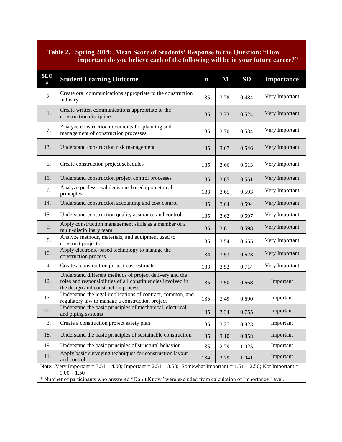## **Table 2. Spring 2019: Mean Score of Students' Response to the Question: "How important do you believe each of the following will be in your future career?"**

| <b>SLO</b><br>#                                                                                                                          | <b>Student Learning Outcome</b>                                                                                                                                 | $\boldsymbol{n}$ | $\bf M$ | SD    | <b>Importance</b> |  |  |
|------------------------------------------------------------------------------------------------------------------------------------------|-----------------------------------------------------------------------------------------------------------------------------------------------------------------|------------------|---------|-------|-------------------|--|--|
| 2.                                                                                                                                       | Create oral communications appropriate to the construction<br>industry                                                                                          | 135              | 3.78    | 0.484 | Very Important    |  |  |
| 1.                                                                                                                                       | Create written communications appropriate to the<br>construction discipline                                                                                     | 135              | 3.73    | 0.524 | Very Important    |  |  |
| 7.                                                                                                                                       | Analyze construction documents for planning and<br>management of construction processes                                                                         | 135              | 3.70    | 0.534 | Very Important    |  |  |
| 13.                                                                                                                                      | Understand construction risk management                                                                                                                         | 135              | 3.67    | 0.546 | Very Important    |  |  |
| 5.                                                                                                                                       | Create construction project schedules                                                                                                                           | 135              | 3.66    | 0.613 | Very Important    |  |  |
| 16.                                                                                                                                      | Understand construction project control processes                                                                                                               | 135              | 3.65    | 0.551 | Very Important    |  |  |
| 6.                                                                                                                                       | Analyze professional decisions based upon ethical<br>principles                                                                                                 | 133              | 3.65    | 0.593 | Very Important    |  |  |
| 14.                                                                                                                                      | Understand construction accounting and cost control                                                                                                             | 135              | 3.64    | 0.594 | Very Important    |  |  |
| 15.                                                                                                                                      | Understand construction quality assurance and control                                                                                                           | 135              | 3.62    | 0.597 | Very Important    |  |  |
| 9.                                                                                                                                       | Apply construction management skills as a member of a<br>multi-disciplinary team                                                                                |                  | 3.61    | 0.598 | Very Important    |  |  |
| 8.                                                                                                                                       | Analyze methods, materials, and equipment used to<br>construct projects                                                                                         |                  | 3.54    | 0.655 | Very Important    |  |  |
| 10.                                                                                                                                      | Apply electronic-based technology to manage the<br>construction process                                                                                         |                  | 3.53    | 0.623 | Very Important    |  |  |
| 4.                                                                                                                                       | Create a construction project cost estimate                                                                                                                     |                  | 3.52    | 0.714 | Very Important    |  |  |
| 12.                                                                                                                                      | Understand different methods of project delivery and the<br>roles and responsibilities of all constituencies involved in<br>the design and construction process |                  | 3.50    | 0.668 | Important         |  |  |
| 17.                                                                                                                                      | Understand the legal implications of contract, common, and<br>regulatory law to manage a construction project                                                   |                  | 3.49    | 0.690 | Important         |  |  |
| 20.                                                                                                                                      | Understand the basic principles of mechanical, electrical<br>and piping systems                                                                                 |                  | 3.34    | 0.755 | Important         |  |  |
| 3.                                                                                                                                       | Create a construction project safety plan                                                                                                                       |                  | 3.27    | 0.823 | Important         |  |  |
| 18.                                                                                                                                      | Understand the basic principles of sustainable construction                                                                                                     |                  | 3.10    | 0.858 | Important         |  |  |
| 19.                                                                                                                                      | Understand the basic principles of structural behavior                                                                                                          |                  | 2.79    | 1.025 | Important         |  |  |
| 11.                                                                                                                                      | Apply basic surveying techniques for construction layout<br>and control                                                                                         |                  | 2.79    | 1.041 | Important         |  |  |
| Note: Very Important = $3.51 - 4.00$ ; Important = $2.51 - 3.50$ ; Somewhat Important = $1.51 - 2.50$ ; Not Important =<br>$1.00 - 1.50$ |                                                                                                                                                                 |                  |         |       |                   |  |  |
| * Number of participants who answered "Don't Know" were excluded from calculation of Importance Level.                                   |                                                                                                                                                                 |                  |         |       |                   |  |  |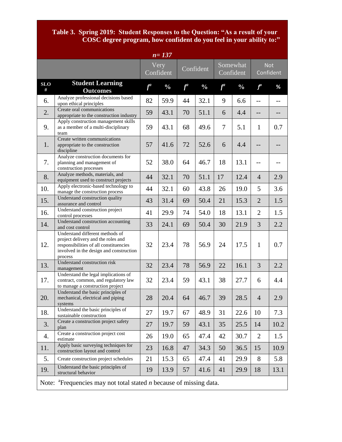#### **Table 3. Spring 2019: Student Responses to the Question: "As a result of your COSC degree program, how confident do you feel in your ability to:"**

| $n = 137$                                                                                      |                                                                                                                                                                       |       |                   |           |               |                       |               |                         |      |
|------------------------------------------------------------------------------------------------|-----------------------------------------------------------------------------------------------------------------------------------------------------------------------|-------|-------------------|-----------|---------------|-----------------------|---------------|-------------------------|------|
|                                                                                                |                                                                                                                                                                       |       | Very<br>Confident | Confident |               | Somewhat<br>Confident |               | <b>Not</b><br>Confident |      |
| <b>SLO</b><br>#                                                                                | <b>Student Learning</b><br><b>Outcomes</b>                                                                                                                            | $f^a$ | $\frac{0}{0}$     | $f^a$     | $\frac{0}{0}$ | $f^a$                 | $\frac{0}{0}$ | $f^a$                   | %    |
| 6.                                                                                             | Analyze professional decisions based<br>upon ethical principles                                                                                                       | 82    | 59.9              | 44        | 32.1          | 9                     | 6.6           | $-$                     | --   |
| 2.                                                                                             | Create oral communications<br>appropriate to the construction industry                                                                                                | 59    | 43.1              | 70        | 51.1          | 6                     | 4.4           | --                      | --   |
| 9.                                                                                             | Apply construction management skills<br>as a member of a multi-disciplinary<br>team                                                                                   | 59    | 43.1              | 68        | 49.6          | 7                     | 5.1           | $\mathbf{1}$            | 0.7  |
| 1.                                                                                             | Create written communications<br>appropriate to the construction<br>discipline                                                                                        | 57    | 41.6              | 72        | 52.6          | 6                     | 4.4           |                         |      |
| 7.                                                                                             | Analyze construction documents for<br>planning and management of<br>construction processes                                                                            | 52    | 38.0              | 64        | 46.7          | 18                    | 13.1          | --                      |      |
| 8.                                                                                             | Analyze methods, materials, and<br>equipment used to construct projects                                                                                               | 44    | 32.1              | 70        | 51.1          | 17                    | 12.4          | $\overline{4}$          | 2.9  |
| 10.                                                                                            | Apply electronic-based technology to<br>manage the construction process                                                                                               | 44    | 32.1              | 60        | 43.8          | 26                    | 19.0          | 5                       | 3.6  |
| 15.                                                                                            | Understand construction quality<br>assurance and control                                                                                                              | 43    | 31.4              | 69        | 50.4          | 21                    | 15.3          | $\overline{2}$          | 1.5  |
| 16.                                                                                            | Understand construction project<br>control processes                                                                                                                  | 41    | 29.9              | 74        | 54.0          | 18                    | 13.1          | $\overline{2}$          | 1.5  |
| 14.                                                                                            | Understand construction accounting<br>and cost control                                                                                                                | 33    | 24.1              | 69        | 50.4          | 30                    | 21.9          | 3                       | 2.2  |
| 12.                                                                                            | Understand different methods of<br>project delivery and the roles and<br>responsibilities of all constituencies<br>involved in the design and construction<br>process | 32    | 23.4              | 78        | 56.9          | 24                    | 17.5          | $\mathbf{1}$            | 0.7  |
| 13.                                                                                            | Understand construction risk<br>management                                                                                                                            | 32    | 23.4              | 78        | 56.9          | 22                    | 16.1          | 3                       | 2.2  |
| 17.                                                                                            | Understand the legal implications of<br>contract, common, and regulatory law<br>to manage a construction project                                                      | 32    | 23.4              | 59        | 43.1          | 38                    | 27.7          | 6                       | 4.4  |
| 20.                                                                                            | Understand the basic principles of<br>mechanical, electrical and piping<br>systems                                                                                    | 28    | 20.4              | 64        | 46.7          | 39                    | 28.5          | $\overline{4}$          | 2.9  |
| 18.                                                                                            | Understand the basic principles of<br>sustainable construction                                                                                                        | 27    | 19.7              | 67        | 48.9          | 31                    | 22.6          | 10                      | 7.3  |
| 3.                                                                                             | Create a construction project safety<br>plan                                                                                                                          | 27    | 19.7              | 59        | 43.1          | 35                    | 25.5          | 14                      | 10.2 |
| 4.                                                                                             | Create a construction project cost<br>estimate                                                                                                                        | 26    | 19.0              | 65        | 47.4          | 42                    | 30.7          | $\overline{2}$          | 1.5  |
| 11.                                                                                            | Apply basic surveying techniques for<br>construction layout and control                                                                                               | 23    | 16.8              | 47        | 34.3          | 50                    | 36.5          | 15                      | 10.9 |
| 5.                                                                                             | Create construction project schedules                                                                                                                                 | 21    | 15.3              | 65        | 47.4          | 41                    | 29.9          | 8                       | 5.8  |
| 19.                                                                                            | Understand the basic principles of<br>structural behavior                                                                                                             | 19    | 13.9              | 57        | 41.6          | 41                    | 29.9          | 18                      | 13.1 |
| Note: $\alpha$ <sup>a</sup> Frequencies may not total stated <i>n</i> because of missing data. |                                                                                                                                                                       |       |                   |           |               |                       |               |                         |      |